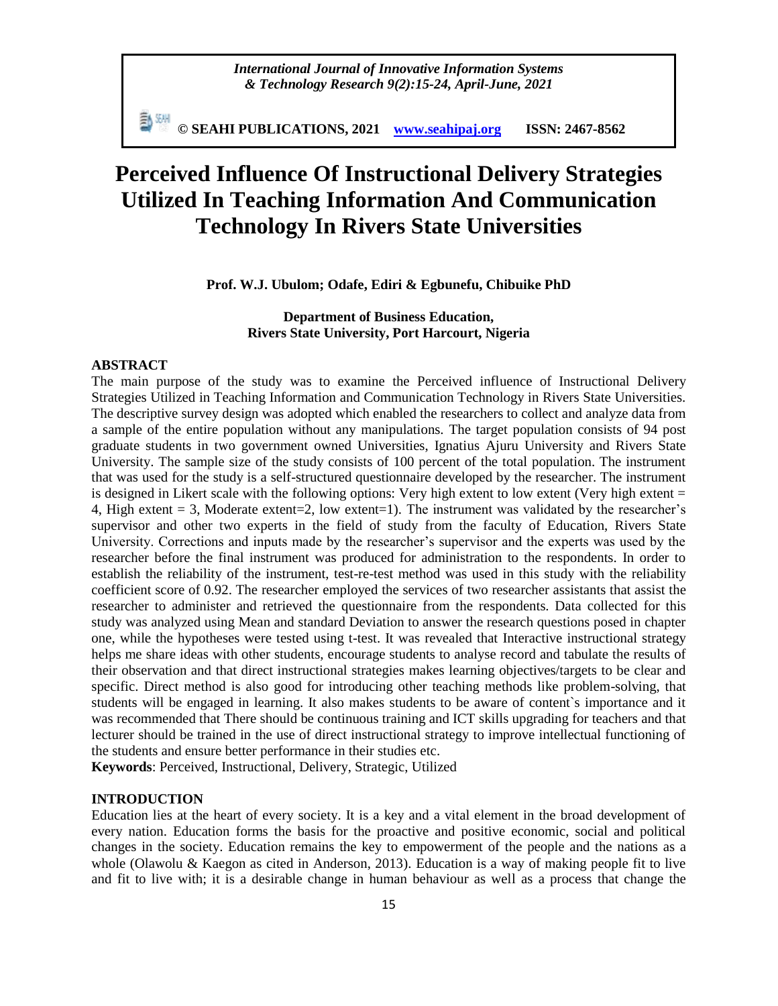*International Journal of Innovative Information Systems & Technology Research 9(2):15-24, April-June, 2021*

勤째 **© SEAHI PUBLICATIONS, 2021 [www.seahipaj.org](http://www.seahipaj.org/) ISSN: 2467-8562**

# **Perceived Influence Of Instructional Delivery Strategies Utilized In Teaching Information And Communication Technology In Rivers State Universities**

**Prof. W.J. Ubulom; Odafe, Ediri & Egbunefu, Chibuike PhD**

**Department of Business Education, Rivers State University, Port Harcourt, Nigeria**

# **ABSTRACT**

The main purpose of the study was to examine the Perceived influence of Instructional Delivery Strategies Utilized in Teaching Information and Communication Technology in Rivers State Universities. The descriptive survey design was adopted which enabled the researchers to collect and analyze data from a sample of the entire population without any manipulations. The target population consists of 94 post graduate students in two government owned Universities, Ignatius Ajuru University and Rivers State University. The sample size of the study consists of 100 percent of the total population. The instrument that was used for the study is a self-structured questionnaire developed by the researcher. The instrument is designed in Likert scale with the following options: Very high extent to low extent (Very high extent = 4, High extent  $= 3$ , Moderate extent $= 2$ , low extent $= 1$ ). The instrument was validated by the researcher's supervisor and other two experts in the field of study from the faculty of Education, Rivers State University. Corrections and inputs made by the researcher"s supervisor and the experts was used by the researcher before the final instrument was produced for administration to the respondents. In order to establish the reliability of the instrument, test-re-test method was used in this study with the reliability coefficient score of 0.92. The researcher employed the services of two researcher assistants that assist the researcher to administer and retrieved the questionnaire from the respondents. Data collected for this study was analyzed using Mean and standard Deviation to answer the research questions posed in chapter one, while the hypotheses were tested using t-test. It was revealed that Interactive instructional strategy helps me share ideas with other students, encourage students to analyse record and tabulate the results of their observation and that direct instructional strategies makes learning objectives/targets to be clear and specific. Direct method is also good for introducing other teaching methods like problem-solving, that students will be engaged in learning. It also makes students to be aware of content`s importance and it was recommended that There should be continuous training and ICT skills upgrading for teachers and that lecturer should be trained in the use of direct instructional strategy to improve intellectual functioning of the students and ensure better performance in their studies etc.

**Keywords**: Perceived, Instructional, Delivery, Strategic, Utilized

# **INTRODUCTION**

Education lies at the heart of every society. It is a key and a vital element in the broad development of every nation. Education forms the basis for the proactive and positive economic, social and political changes in the society. Education remains the key to empowerment of the people and the nations as a whole (Olawolu & Kaegon as cited in Anderson, 2013). Education is a way of making people fit to live and fit to live with; it is a desirable change in human behaviour as well as a process that change the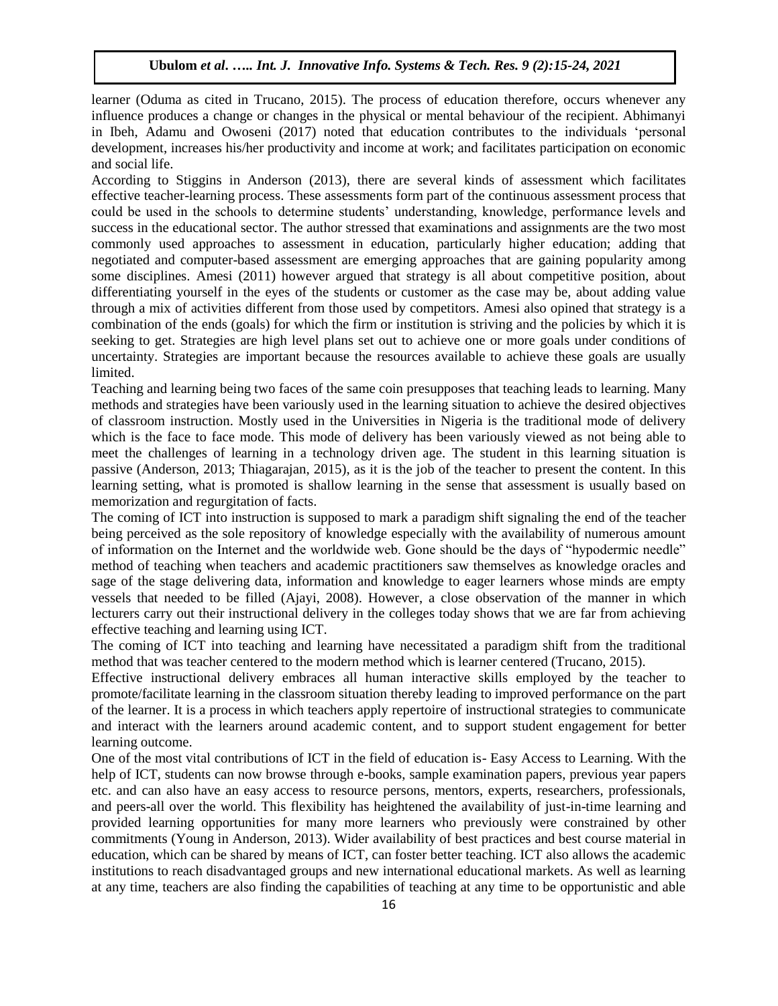learner (Oduma as cited in Trucano, 2015). The process of education therefore, occurs whenever any influence produces a change or changes in the physical or mental behaviour of the recipient. Abhimanyi in Ibeh, Adamu and Owoseni (2017) noted that education contributes to the individuals "personal development, increases his/her productivity and income at work; and facilitates participation on economic and social life.

According to Stiggins in Anderson (2013), there are several kinds of assessment which facilitates effective teacher-learning process. These assessments form part of the continuous assessment process that could be used in the schools to determine students" understanding, knowledge, performance levels and success in the educational sector. The author stressed that examinations and assignments are the two most commonly used approaches to assessment in education, particularly higher education; adding that negotiated and computer-based assessment are emerging approaches that are gaining popularity among some disciplines. Amesi (2011) however argued that strategy is all about competitive position, about differentiating yourself in the eyes of the students or customer as the case may be, about adding value through a mix of activities different from those used by competitors. Amesi also opined that strategy is a combination of the ends (goals) for which the firm or institution is striving and the policies by which it is seeking to get. Strategies are high level plans set out to achieve one or more goals under conditions of uncertainty. Strategies are important because the resources available to achieve these goals are usually limited.

Teaching and learning being two faces of the same coin presupposes that teaching leads to learning. Many methods and strategies have been variously used in the learning situation to achieve the desired objectives of classroom instruction. Mostly used in the Universities in Nigeria is the traditional mode of delivery which is the face to face mode. This mode of delivery has been variously viewed as not being able to meet the challenges of learning in a technology driven age. The student in this learning situation is passive (Anderson, 2013; Thiagarajan, 2015), as it is the job of the teacher to present the content. In this learning setting, what is promoted is shallow learning in the sense that assessment is usually based on memorization and regurgitation of facts.

The coming of ICT into instruction is supposed to mark a paradigm shift signaling the end of the teacher being perceived as the sole repository of knowledge especially with the availability of numerous amount of information on the Internet and the worldwide web. Gone should be the days of "hypodermic needle" method of teaching when teachers and academic practitioners saw themselves as knowledge oracles and sage of the stage delivering data, information and knowledge to eager learners whose minds are empty vessels that needed to be filled (Ajayi, 2008). However, a close observation of the manner in which lecturers carry out their instructional delivery in the colleges today shows that we are far from achieving effective teaching and learning using ICT.

The coming of ICT into teaching and learning have necessitated a paradigm shift from the traditional method that was teacher centered to the modern method which is learner centered (Trucano, 2015).

Effective instructional delivery embraces all human interactive skills employed by the teacher to promote/facilitate learning in the classroom situation thereby leading to improved performance on the part of the learner. It is a process in which teachers apply repertoire of instructional strategies to communicate and interact with the learners around academic content, and to support student engagement for better learning outcome.

One of the most vital contributions of ICT in the field of education is- Easy Access to Learning. With the help of ICT, students can now browse through e-books, sample examination papers, previous year papers etc. and can also have an easy access to resource persons, mentors, experts, researchers, professionals, and peers-all over the world. This flexibility has heightened the availability of just-in-time learning and provided learning opportunities for many more learners who previously were constrained by other commitments (Young in Anderson, 2013). Wider availability of best practices and best course material in education, which can be shared by means of ICT, can foster better teaching. ICT also allows the academic institutions to reach disadvantaged groups and new international educational markets. As well as learning at any time, teachers are also finding the capabilities of teaching at any time to be opportunistic and able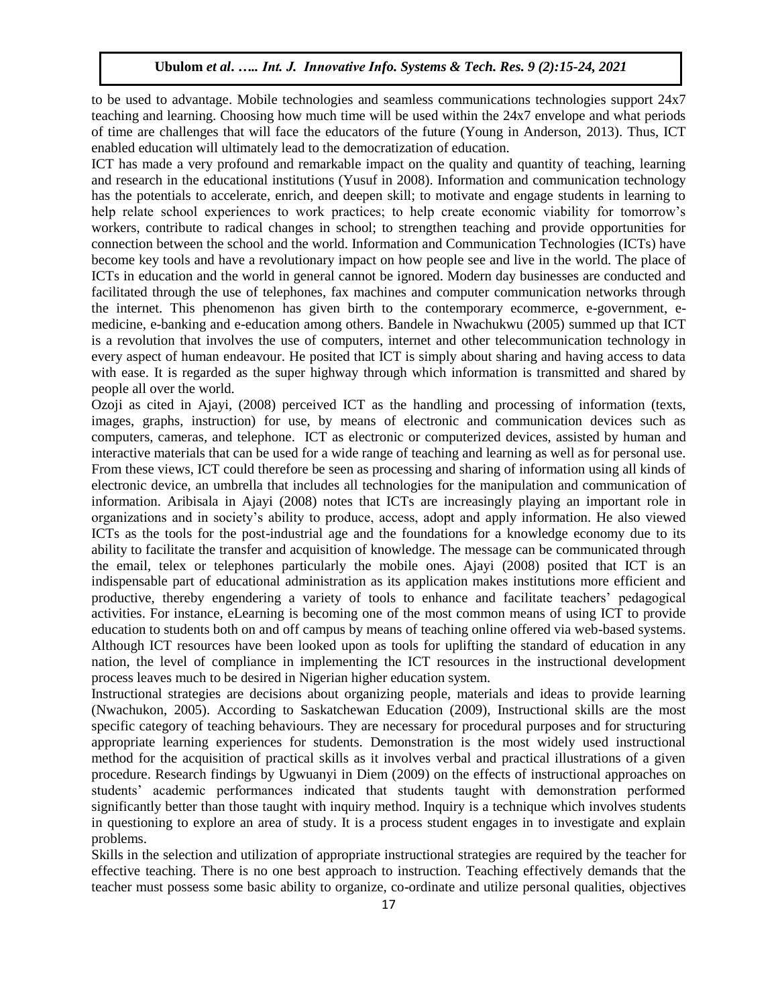to be used to advantage. Mobile technologies and seamless communications technologies support 24x7 teaching and learning. Choosing how much time will be used within the 24x7 envelope and what periods of time are challenges that will face the educators of the future (Young in Anderson, 2013). Thus, ICT enabled education will ultimately lead to the democratization of education.

ICT has made a very profound and remarkable impact on the quality and quantity of teaching, learning and research in the educational institutions (Yusuf in 2008). Information and communication technology has the potentials to accelerate, enrich, and deepen skill; to motivate and engage students in learning to help relate school experiences to work practices; to help create economic viability for tomorrow's workers, contribute to radical changes in school; to strengthen teaching and provide opportunities for connection between the school and the world. Information and Communication Technologies (ICTs) have become key tools and have a revolutionary impact on how people see and live in the world. The place of ICTs in education and the world in general cannot be ignored. Modern day businesses are conducted and facilitated through the use of telephones, fax machines and computer communication networks through the internet. This phenomenon has given birth to the contemporary ecommerce, e-government, emedicine, e-banking and e-education among others. Bandele in Nwachukwu (2005) summed up that ICT is a revolution that involves the use of computers, internet and other telecommunication technology in every aspect of human endeavour. He posited that ICT is simply about sharing and having access to data with ease. It is regarded as the super highway through which information is transmitted and shared by people all over the world.

Ozoji as cited in Ajayi, (2008) perceived ICT as the handling and processing of information (texts, images, graphs, instruction) for use, by means of electronic and communication devices such as computers, cameras, and telephone. ICT as electronic or computerized devices, assisted by human and interactive materials that can be used for a wide range of teaching and learning as well as for personal use. From these views, ICT could therefore be seen as processing and sharing of information using all kinds of electronic device, an umbrella that includes all technologies for the manipulation and communication of information. Aribisala in Ajayi (2008) notes that ICTs are increasingly playing an important role in organizations and in society"s ability to produce, access, adopt and apply information. He also viewed ICTs as the tools for the post-industrial age and the foundations for a knowledge economy due to its ability to facilitate the transfer and acquisition of knowledge. The message can be communicated through the email, telex or telephones particularly the mobile ones. Ajayi (2008) posited that ICT is an indispensable part of educational administration as its application makes institutions more efficient and productive, thereby engendering a variety of tools to enhance and facilitate teachers" pedagogical activities. For instance, eLearning is becoming one of the most common means of using ICT to provide education to students both on and off campus by means of teaching online offered via web-based systems. Although ICT resources have been looked upon as tools for uplifting the standard of education in any nation, the level of compliance in implementing the ICT resources in the instructional development process leaves much to be desired in Nigerian higher education system.

Instructional strategies are decisions about organizing people, materials and ideas to provide learning (Nwachukon, 2005). According to Saskatchewan Education (2009), Instructional skills are the most specific category of teaching behaviours. They are necessary for procedural purposes and for structuring appropriate learning experiences for students. Demonstration is the most widely used instructional method for the acquisition of practical skills as it involves verbal and practical illustrations of a given procedure. Research findings by Ugwuanyi in Diem (2009) on the effects of instructional approaches on students" academic performances indicated that students taught with demonstration performed significantly better than those taught with inquiry method. Inquiry is a technique which involves students in questioning to explore an area of study. It is a process student engages in to investigate and explain problems.

Skills in the selection and utilization of appropriate instructional strategies are required by the teacher for effective teaching. There is no one best approach to instruction. Teaching effectively demands that the teacher must possess some basic ability to organize, co-ordinate and utilize personal qualities, objectives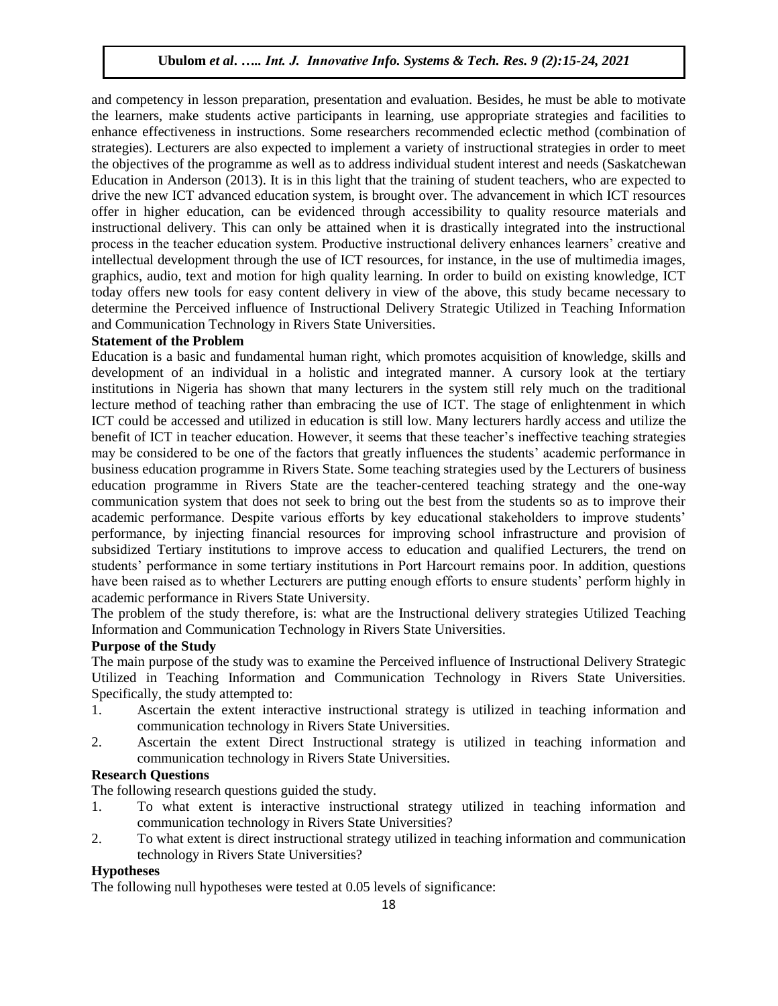and competency in lesson preparation, presentation and evaluation. Besides, he must be able to motivate the learners, make students active participants in learning, use appropriate strategies and facilities to enhance effectiveness in instructions. Some researchers recommended eclectic method (combination of strategies). Lecturers are also expected to implement a variety of instructional strategies in order to meet the objectives of the programme as well as to address individual student interest and needs (Saskatchewan Education in Anderson (2013). It is in this light that the training of student teachers, who are expected to drive the new ICT advanced education system, is brought over. The advancement in which ICT resources offer in higher education, can be evidenced through accessibility to quality resource materials and instructional delivery. This can only be attained when it is drastically integrated into the instructional process in the teacher education system. Productive instructional delivery enhances learners" creative and intellectual development through the use of ICT resources, for instance, in the use of multimedia images, graphics, audio, text and motion for high quality learning. In order to build on existing knowledge, ICT today offers new tools for easy content delivery in view of the above, this study became necessary to determine the Perceived influence of Instructional Delivery Strategic Utilized in Teaching Information and Communication Technology in Rivers State Universities.

## **Statement of the Problem**

Education is a basic and fundamental human right, which promotes acquisition of knowledge, skills and development of an individual in a holistic and integrated manner. A cursory look at the tertiary institutions in Nigeria has shown that many lecturers in the system still rely much on the traditional lecture method of teaching rather than embracing the use of ICT. The stage of enlightenment in which ICT could be accessed and utilized in education is still low. Many lecturers hardly access and utilize the benefit of ICT in teacher education. However, it seems that these teacher"s ineffective teaching strategies may be considered to be one of the factors that greatly influences the students" academic performance in business education programme in Rivers State. Some teaching strategies used by the Lecturers of business education programme in Rivers State are the teacher-centered teaching strategy and the one-way communication system that does not seek to bring out the best from the students so as to improve their academic performance. Despite various efforts by key educational stakeholders to improve students" performance, by injecting financial resources for improving school infrastructure and provision of subsidized Tertiary institutions to improve access to education and qualified Lecturers, the trend on students' performance in some tertiary institutions in Port Harcourt remains poor. In addition, questions have been raised as to whether Lecturers are putting enough efforts to ensure students' perform highly in academic performance in Rivers State University.

The problem of the study therefore, is: what are the Instructional delivery strategies Utilized Teaching Information and Communication Technology in Rivers State Universities.

# **Purpose of the Study**

The main purpose of the study was to examine the Perceived influence of Instructional Delivery Strategic Utilized in Teaching Information and Communication Technology in Rivers State Universities. Specifically, the study attempted to:

- 1. Ascertain the extent interactive instructional strategy is utilized in teaching information and communication technology in Rivers State Universities.
- 2. Ascertain the extent Direct Instructional strategy is utilized in teaching information and communication technology in Rivers State Universities.

# **Research Questions**

The following research questions guided the study.

- 1. To what extent is interactive instructional strategy utilized in teaching information and communication technology in Rivers State Universities?
- 2. To what extent is direct instructional strategy utilized in teaching information and communication technology in Rivers State Universities?

# **Hypotheses**

The following null hypotheses were tested at 0.05 levels of significance: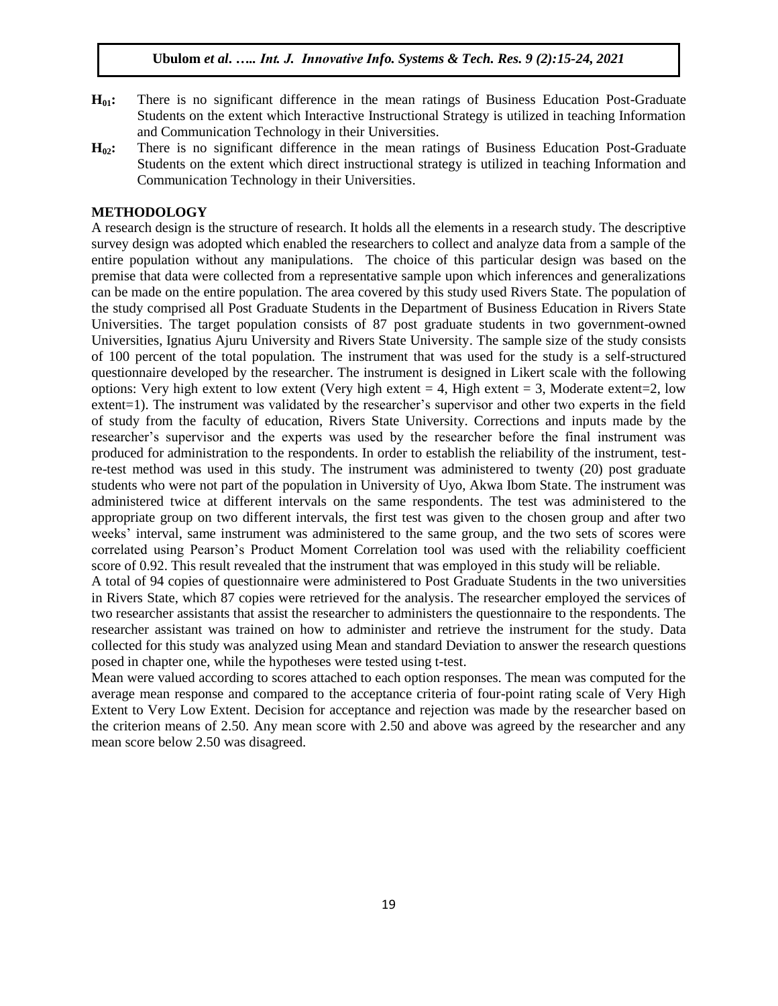- **H01:** There is no significant difference in the mean ratings of Business Education Post-Graduate Students on the extent which Interactive Instructional Strategy is utilized in teaching Information and Communication Technology in their Universities.
- **H02:** There is no significant difference in the mean ratings of Business Education Post-Graduate Students on the extent which direct instructional strategy is utilized in teaching Information and Communication Technology in their Universities.

#### **METHODOLOGY**

A research design is the structure of research. It holds all the elements in a research study. The descriptive survey design was adopted which enabled the researchers to collect and analyze data from a sample of the entire population without any manipulations. The choice of this particular design was based on the premise that data were collected from a representative sample upon which inferences and generalizations can be made on the entire population. The area covered by this study used Rivers State. The population of the study comprised all Post Graduate Students in the Department of Business Education in Rivers State Universities. The target population consists of 87 post graduate students in two government-owned Universities, Ignatius Ajuru University and Rivers State University. The sample size of the study consists of 100 percent of the total population. The instrument that was used for the study is a self-structured questionnaire developed by the researcher. The instrument is designed in Likert scale with the following options: Very high extent to low extent (Very high extent  $= 4$ , High extent  $= 3$ , Moderate extent  $= 2$ , low extent=1). The instrument was validated by the researcher's supervisor and other two experts in the field of study from the faculty of education, Rivers State University. Corrections and inputs made by the researcher"s supervisor and the experts was used by the researcher before the final instrument was produced for administration to the respondents. In order to establish the reliability of the instrument, testre-test method was used in this study. The instrument was administered to twenty (20) post graduate students who were not part of the population in University of Uyo, Akwa Ibom State. The instrument was administered twice at different intervals on the same respondents. The test was administered to the appropriate group on two different intervals, the first test was given to the chosen group and after two weeks' interval, same instrument was administered to the same group, and the two sets of scores were correlated using Pearson"s Product Moment Correlation tool was used with the reliability coefficient score of 0.92. This result revealed that the instrument that was employed in this study will be reliable.

A total of 94 copies of questionnaire were administered to Post Graduate Students in the two universities in Rivers State, which 87 copies were retrieved for the analysis. The researcher employed the services of two researcher assistants that assist the researcher to administers the questionnaire to the respondents. The researcher assistant was trained on how to administer and retrieve the instrument for the study. Data collected for this study was analyzed using Mean and standard Deviation to answer the research questions posed in chapter one, while the hypotheses were tested using t-test.

Mean were valued according to scores attached to each option responses. The mean was computed for the average mean response and compared to the acceptance criteria of four-point rating scale of Very High Extent to Very Low Extent. Decision for acceptance and rejection was made by the researcher based on the criterion means of 2.50. Any mean score with 2.50 and above was agreed by the researcher and any mean score below 2.50 was disagreed.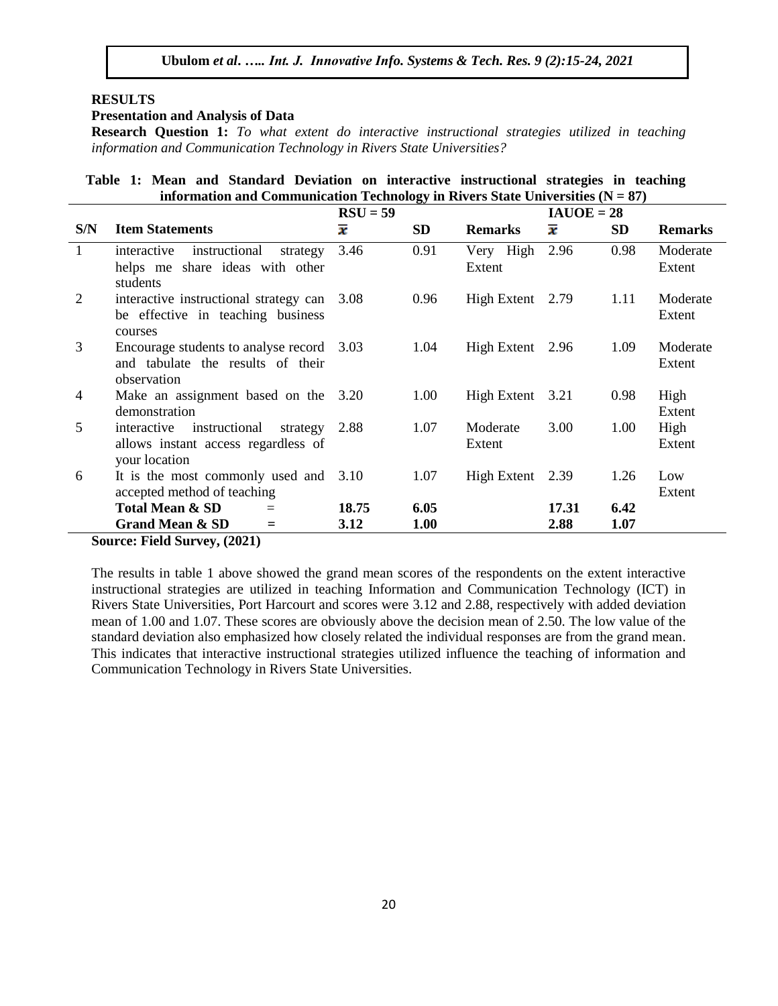### **RESULTS**

#### **Presentation and Analysis of Data**

**Research Question 1:** *To what extent do interactive instructional strategies utilized in teaching information and Communication Technology in Rivers State Universities?*

**Table 1: Mean and Standard Deviation on interactive instructional strategies in teaching information and Communication Technology in Rivers State Universities**  $(N = 87)$ 

|                                     |                                                                                | $RSU = 59$          |                          | $IAUOE = 28$     |                     |                    |                |
|-------------------------------------|--------------------------------------------------------------------------------|---------------------|--------------------------|------------------|---------------------|--------------------|----------------|
| S/N                                 | <b>Item Statements</b>                                                         | $\overline{\bm{x}}$ | <b>SD</b>                | <b>Remarks</b>   | $\overline{\bm{x}}$ | <b>SD</b>          | <b>Remarks</b> |
| $\mathbf{1}$                        | instructional<br>interactive<br>strategy                                       | 3.46                | 0.91                     | Very High        | 2.96                | 0.98               | Moderate       |
|                                     | helps me share ideas with other                                                |                     |                          | Extent           |                     |                    | Extent         |
|                                     | students                                                                       |                     |                          |                  |                     |                    |                |
| 2                                   | interactive instructional strategy can 3.08                                    |                     | High Extent 2.79<br>0.96 |                  |                     | 1.11               | Moderate       |
|                                     | be effective in teaching business                                              |                     |                          |                  |                     |                    | Extent         |
|                                     | courses                                                                        |                     |                          | High Extent 2.96 |                     |                    |                |
| 3                                   | Encourage students to analyse record 3.03<br>and tabulate the results of their |                     | 1.04                     |                  | 1.09                | Moderate<br>Extent |                |
|                                     | observation                                                                    |                     |                          |                  |                     |                    |                |
| 4                                   | Make an assignment based on the 3.20                                           |                     | 1.00                     | High Extent 3.21 |                     | 0.98               | High           |
|                                     | demonstration                                                                  |                     |                          |                  |                     |                    | Extent         |
| 5                                   | interactive<br>instructional<br>strategy                                       | 2.88                | 1.07                     | Moderate         | 3.00                | 1.00               | High           |
| allows instant access regardless of |                                                                                |                     |                          | Extent           |                     |                    | Extent         |
|                                     | your location                                                                  |                     |                          |                  |                     |                    |                |
| 6                                   | It is the most commonly used and $3.10$                                        |                     | 1.07                     | High Extent 2.39 |                     | 1.26               | Low            |
|                                     | accepted method of teaching                                                    |                     |                          |                  |                     |                    | Extent         |
|                                     | <b>Total Mean &amp; SD</b><br>$=$                                              | 18.75               | 6.05                     |                  | 17.31               | 6.42               |                |
|                                     | <b>Grand Mean &amp; SD</b><br>$=$                                              | 3.12                | 1.00                     |                  | 2.88                | 1.07               |                |

**Source: Field Survey, (2021)**

The results in table 1 above showed the grand mean scores of the respondents on the extent interactive instructional strategies are utilized in teaching Information and Communication Technology (ICT) in Rivers State Universities, Port Harcourt and scores were 3.12 and 2.88, respectively with added deviation mean of 1.00 and 1.07. These scores are obviously above the decision mean of 2.50. The low value of the standard deviation also emphasized how closely related the individual responses are from the grand mean. This indicates that interactive instructional strategies utilized influence the teaching of information and Communication Technology in Rivers State Universities.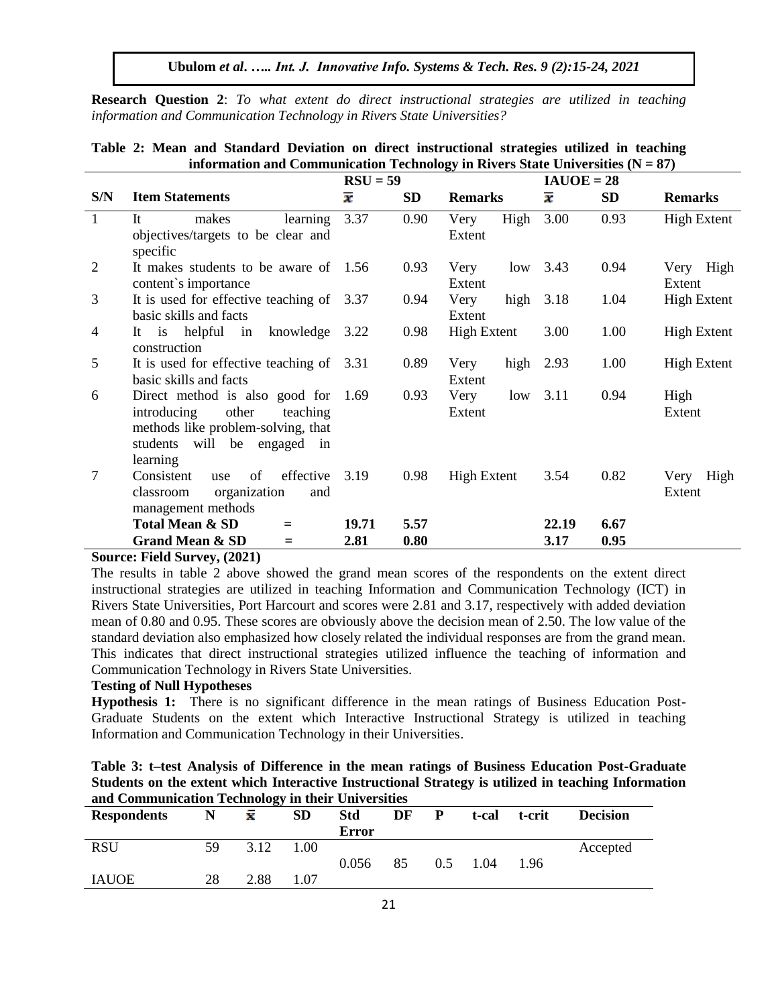**Research Question 2**: *To what extent do direct instructional strategies are utilized in teaching information and Communication Technology in Rivers State Universities?*

|              |                                                                                                                                                        | ິ<br>$RSU = 59$     |              |                        | $IAUOE = 28$        |              |                        |
|--------------|--------------------------------------------------------------------------------------------------------------------------------------------------------|---------------------|--------------|------------------------|---------------------|--------------|------------------------|
| S/N          | <b>Item Statements</b>                                                                                                                                 | $\overline{\bm{x}}$ | <b>SD</b>    | <b>Remarks</b>         | $\overline{\bm{x}}$ | <b>SD</b>    | <b>Remarks</b>         |
| $\mathbf{1}$ | It<br>makes<br>learning<br>objectives/targets to be clear and<br>specific                                                                              | 3.37                | 0.90         | High<br>Very<br>Extent | 3.00                | 0.93         | <b>High Extent</b>     |
| 2            | It makes students to be aware of 1.56<br>content's importance                                                                                          |                     | 0.93         | Very<br>low<br>Extent  | 3.43                | 0.94         | Very High<br>Extent    |
| 3            | It is used for effective teaching of 3.37<br>basic skills and facts                                                                                    |                     | 0.94         | Very<br>high<br>Extent | 3.18                | 1.04         | <b>High Extent</b>     |
| 4            | It is helpful in<br>knowledge<br>construction                                                                                                          | 3.22                | 0.98         | <b>High Extent</b>     | 3.00                | 1.00         | <b>High Extent</b>     |
| 5            | It is used for effective teaching of 3.31<br>basic skills and facts                                                                                    |                     | 0.89         | high<br>Very<br>Extent | 2.93                | 1.00         | <b>High Extent</b>     |
| 6            | Direct method is also good for<br>other<br>introducing<br>teaching<br>methods like problem-solving, that<br>will be engaged in<br>students<br>learning | 1.69                | 0.93         | Very<br>low<br>Extent  | 3.11                | 0.94         | High<br>Extent         |
| $\tau$       | effective<br>of<br>Consistent<br>use<br>organization<br>classroom<br>and<br>management methods                                                         | 3.19                | 0.98         | <b>High Extent</b>     | 3.54                | 0.82         | High<br>Very<br>Extent |
|              | <b>Total Mean &amp; SD</b><br>Ξ<br><b>Grand Mean &amp; SD</b><br>$=$                                                                                   | 19.71<br>2.81       | 5.57<br>0.80 |                        | 22.19<br>3.17       | 6.67<br>0.95 |                        |

# **Table 2: Mean and Standard Deviation on direct instructional strategies utilized in teaching information and Communication Technology in Rivers State Universities (N = 87)**

#### **Source: Field Survey, (2021)**

The results in table 2 above showed the grand mean scores of the respondents on the extent direct instructional strategies are utilized in teaching Information and Communication Technology (ICT) in Rivers State Universities, Port Harcourt and scores were 2.81 and 3.17, respectively with added deviation mean of 0.80 and 0.95. These scores are obviously above the decision mean of 2.50. The low value of the standard deviation also emphasized how closely related the individual responses are from the grand mean. This indicates that direct instructional strategies utilized influence the teaching of information and Communication Technology in Rivers State Universities.

## **Testing of Null Hypotheses**

**Hypothesis 1:** There is no significant difference in the mean ratings of Business Education Post-Graduate Students on the extent which Interactive Instructional Strategy is utilized in teaching Information and Communication Technology in their Universities.

| Table 3: t-test Analysis of Difference in the mean ratings of Business Education Post-Graduate      |  |
|-----------------------------------------------------------------------------------------------------|--|
| Students on the extent which Interactive Instructional Strategy is utilized in teaching Information |  |
| and Communication Technology in their Universities                                                  |  |

|                    |    | ~    |           |                     |    |               |       |        |                 |
|--------------------|----|------|-----------|---------------------|----|---------------|-------|--------|-----------------|
| <b>Respondents</b> | N  | x    | <b>SD</b> | <b>Std</b><br>Error | DF | P             | t-cal | t-crit | <b>Decision</b> |
| <b>RSU</b>         | 59 | 3.12 | 1.00      |                     |    |               |       |        | Accepted        |
| <b>IAUOE</b>       | 28 | 2.88 | 1.07      | 0.056               | 85 | $0.5^{\circ}$ | 1.04  | 1.96   |                 |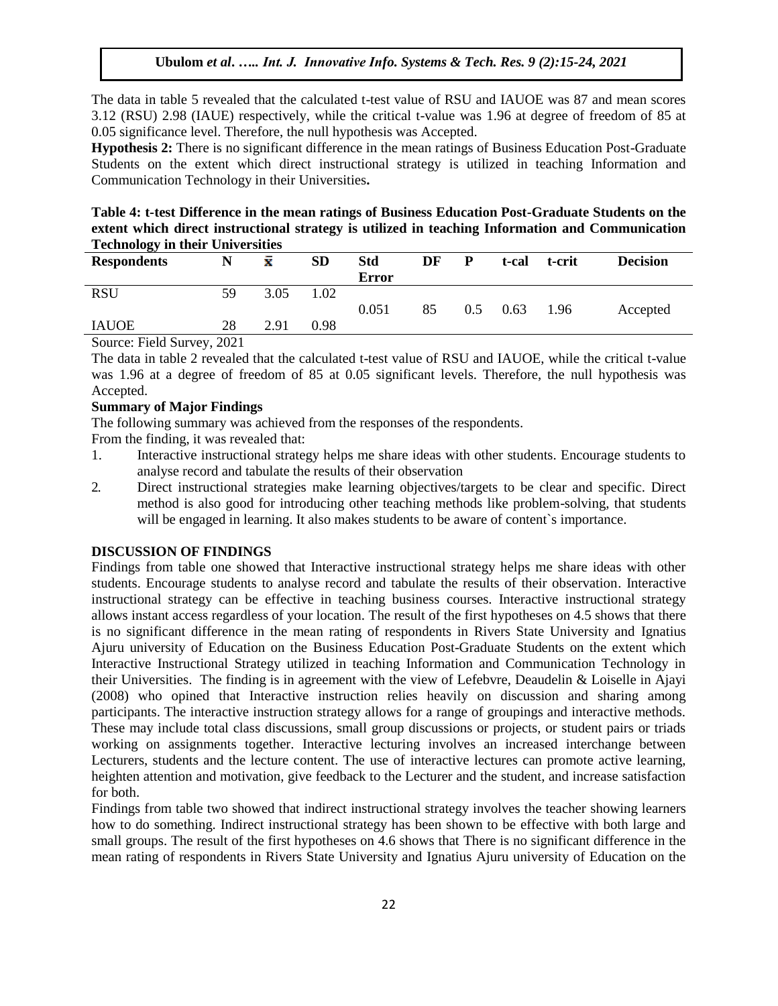The data in table 5 revealed that the calculated t-test value of RSU and IAUOE was 87 and mean scores 3.12 (RSU) 2.98 (IAUE) respectively, while the critical t-value was 1.96 at degree of freedom of 85 at 0.05 significance level. Therefore, the null hypothesis was Accepted.

**Hypothesis 2:** There is no significant difference in the mean ratings of Business Education Post-Graduate Students on the extent which direct instructional strategy is utilized in teaching Information and Communication Technology in their Universities**.**

**Table 4: t-test Difference in the mean ratings of Business Education Post-Graduate Students on the extent which direct instructional strategy is utilized in teaching Information and Communication Technology in their Universities**

| $10000 + 1000$         |       |      |           |              |    |     |       |        |                 |
|------------------------|-------|------|-----------|--------------|----|-----|-------|--------|-----------------|
| <b>Respondents</b>     |       | ż    | <b>SD</b> | <b>Std</b>   | DF | P   | t-cal | t-crit | <b>Decision</b> |
|                        |       |      |           | <b>Error</b> |    |     |       |        |                 |
| <b>RSU</b>             | 59    | 3.05 | 1.02      |              |    |     |       |        |                 |
|                        |       |      |           | 0.051        | 85 | 0.5 | 0.63  | 1.96   | Accepted        |
| <b>IAUOE</b>           | 28    | 2.91 | 0.98      |              |    |     |       |        |                 |
| $\sim$<br>$\Gamma$ 110 | 0.021 |      |           |              |    |     |       |        |                 |

Source: Field Survey, 2021

The data in table 2 revealed that the calculated t-test value of RSU and IAUOE, while the critical t-value was 1.96 at a degree of freedom of 85 at 0.05 significant levels. Therefore, the null hypothesis was Accepted.

## **Summary of Major Findings**

The following summary was achieved from the responses of the respondents.

From the finding, it was revealed that:

- 1. Interactive instructional strategy helps me share ideas with other students. Encourage students to analyse record and tabulate the results of their observation
- 2. Direct instructional strategies make learning objectives/targets to be clear and specific. Direct method is also good for introducing other teaching methods like problem-solving, that students will be engaged in learning. It also makes students to be aware of content`s importance.

## **DISCUSSION OF FINDINGS**

Findings from table one showed that Interactive instructional strategy helps me share ideas with other students. Encourage students to analyse record and tabulate the results of their observation. Interactive instructional strategy can be effective in teaching business courses. Interactive instructional strategy allows instant access regardless of your location. The result of the first hypotheses on 4.5 shows that there is no significant difference in the mean rating of respondents in Rivers State University and Ignatius Ajuru university of Education on the Business Education Post-Graduate Students on the extent which Interactive Instructional Strategy utilized in teaching Information and Communication Technology in their Universities. The finding is in agreement with the view of Lefebvre, Deaudelin & Loiselle in Ajayi (2008) who opined that Interactive instruction relies heavily on discussion and sharing among participants. The interactive instruction strategy allows for a range of groupings and interactive methods. These may include total class discussions, small group discussions or projects, or student pairs or triads working on assignments together. Interactive lecturing involves an increased interchange between Lecturers, students and the lecture content. The use of interactive lectures can promote active learning, heighten attention and motivation, give feedback to the Lecturer and the student, and increase satisfaction for both.

Findings from table two showed that indirect instructional strategy involves the teacher showing learners how to do something. Indirect instructional strategy has been shown to be effective with both large and small groups. The result of the first hypotheses on 4.6 shows that There is no significant difference in the mean rating of respondents in Rivers State University and Ignatius Ajuru university of Education on the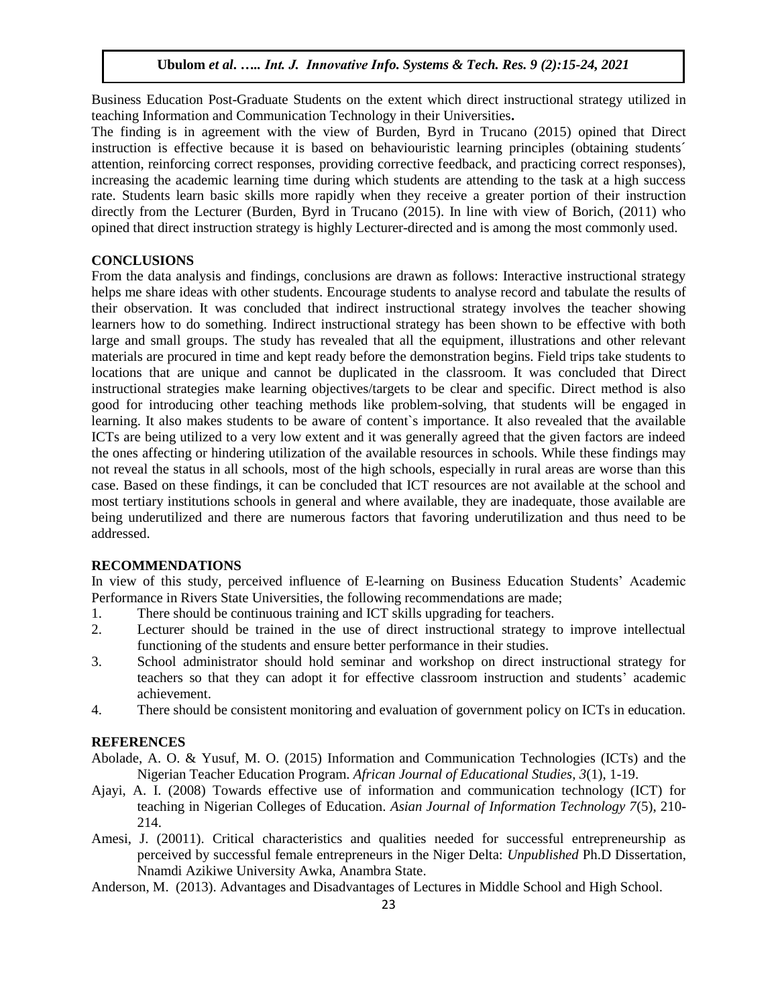Business Education Post-Graduate Students on the extent which direct instructional strategy utilized in teaching Information and Communication Technology in their Universities**.** 

The finding is in agreement with the view of Burden, Byrd in Trucano (2015) opined that Direct instruction is effective because it is based on behaviouristic learning principles (obtaining students´ attention, reinforcing correct responses, providing corrective feedback, and practicing correct responses), increasing the academic learning time during which students are attending to the task at a high success rate. Students learn basic skills more rapidly when they receive a greater portion of their instruction directly from the Lecturer (Burden, Byrd in Trucano (2015). In line with view of Borich, (2011) who opined that [direct instruction](http://www.sasked.gov.sk.ca/docs/policy/approach/instrapp03.html#strategies) strategy is highly Lecturer-directed and is among the most commonly used.

## **CONCLUSIONS**

From the data analysis and findings, conclusions are drawn as follows: Interactive instructional strategy helps me share ideas with other students. Encourage students to analyse record and tabulate the results of their observation. It was concluded that indirect instructional strategy involves the teacher showing learners how to do something. Indirect instructional strategy has been shown to be effective with both large and small groups. The study has revealed that all the equipment, illustrations and other relevant materials are procured in time and kept ready before the demonstration begins. Field trips take students to locations that are unique and cannot be duplicated in the classroom. It was concluded that Direct instructional strategies make learning objectives/targets to be clear and specific. Direct method is also good for introducing other teaching methods like problem-solving, that students will be engaged in learning. It also makes students to be aware of content's importance. It also revealed that the available ICTs are being utilized to a very low extent and it was generally agreed that the given factors are indeed the ones affecting or hindering utilization of the available resources in schools. While these findings may not reveal the status in all schools, most of the high schools, especially in rural areas are worse than this case. Based on these findings, it can be concluded that ICT resources are not available at the school and most tertiary institutions schools in general and where available, they are inadequate, those available are being underutilized and there are numerous factors that favoring underutilization and thus need to be addressed.

## **RECOMMENDATIONS**

In view of this study, perceived influence of E-learning on Business Education Students" Academic Performance in Rivers State Universities, the following recommendations are made;

- 1. There should be continuous training and ICT skills upgrading for teachers.
- 2. Lecturer should be trained in the use of direct instructional strategy to improve intellectual functioning of the students and ensure better performance in their studies.
- 3. School administrator should hold seminar and workshop on direct instructional strategy for teachers so that they can adopt it for effective classroom instruction and students" academic achievement.
- 4. There should be consistent monitoring and evaluation of government policy on ICTs in education.

#### **REFERENCES**

- Abolade, A. O. & Yusuf, M. O. (2015) Information and Communication Technologies (ICTs) and the Nigerian Teacher Education Program. *African Journal of Educational Studies, 3*(1), 1-19.
- Ajayi, A. I. (2008) Towards effective use of information and communication technology (ICT) for teaching in Nigerian Colleges of Education. *Asian Journal of Information Technology 7*(5), 210- 214.
- Amesi, J. (20011). Critical characteristics and qualities needed for successful entrepreneurship as perceived by successful female entrepreneurs in the Niger Delta: *Unpublished* Ph.D Dissertation, Nnamdi Azikiwe University Awka, Anambra State.
- Anderson, M. (2013). Advantages and Disadvantages of Lectures in Middle School and High School.